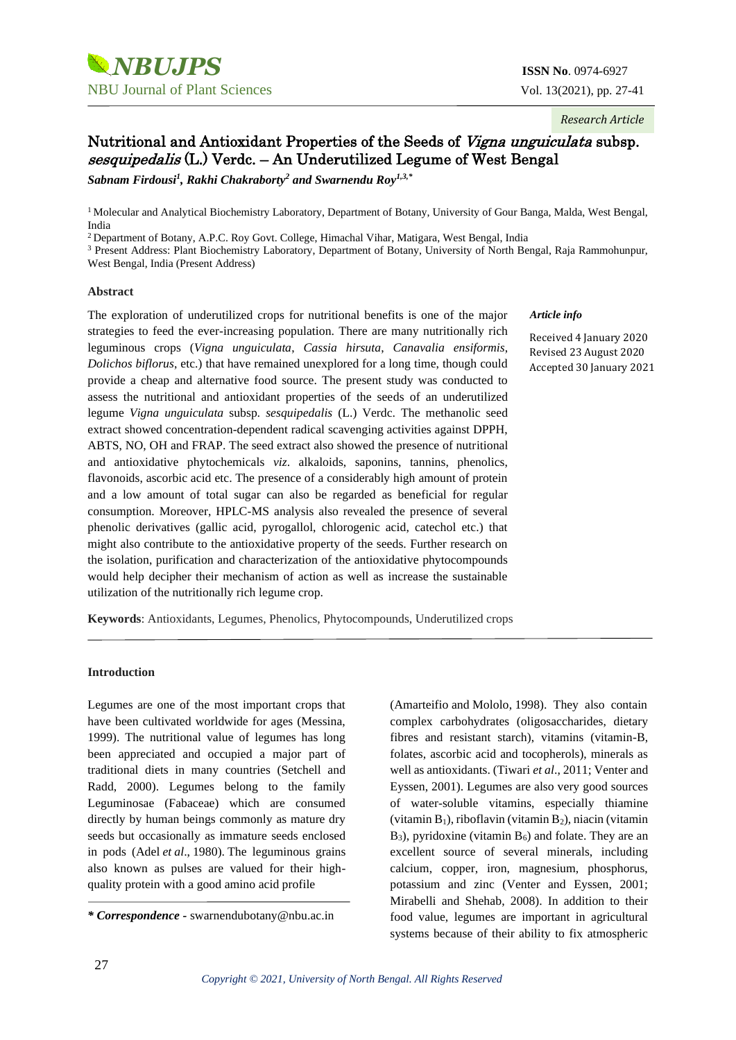*Research Article*

# Nutritional and Antioxidant Properties of the Seeds of Vigna unguiculata subsp. sesquipedalis (L.) Verdc. – An Underutilized Legume of West Bengal

*Sabnam Firdousi<sup>1</sup> , Rakhi Chakraborty<sup>2</sup> and Swarnendu Roy1,3,\**

<sup>1</sup> Molecular and Analytical Biochemistry Laboratory, Department of Botany, University of Gour Banga, Malda, West Bengal, India

<sup>2</sup> Department of Botany, A.P.C. Roy Govt. College, Himachal Vihar, Matigara, West Bengal, India

<sup>3</sup> Present Address: Plant Biochemistry Laboratory, Department of Botany, University of North Bengal, Raja Rammohunpur, West Bengal, India (Present Address)

### **Abstract**

The exploration of underutilized crops for nutritional benefits is one of the major strategies to feed the ever-increasing population. There are many nutritionally rich leguminous crops (*Vigna unguiculata*, *Cassia hirsuta*, *Canavalia ensiformis*, *Dolichos biflorus*, etc.) that have remained unexplored for a long time, though could provide a cheap and alternative food source. The present study was conducted to assess the nutritional and antioxidant properties of the seeds of an underutilized legume *Vigna unguiculata* subsp*. sesquipedalis* (L.) Verdc. The methanolic seed extract showed concentration-dependent radical scavenging activities against DPPH, ABTS, NO, OH and FRAP. The seed extract also showed the presence of nutritional and antioxidative phytochemicals *viz*. alkaloids, saponins, tannins, phenolics, flavonoids, ascorbic acid etc. The presence of a considerably high amount of protein and a low amount of total sugar can also be regarded as beneficial for regular consumption. Moreover, HPLC-MS analysis also revealed the presence of several phenolic derivatives (gallic acid, pyrogallol, chlorogenic acid, catechol etc.) that might also contribute to the antioxidative property of the seeds. Further research on the isolation, purification and characterization of the antioxidative phytocompounds would help decipher their mechanism of action as well as increase the sustainable utilization of the nutritionally rich legume crop.

#### *Article info*

Received 4 January 2020 Revised 23 August 2020 Accepted 30 January 2021

**Keywords**: Antioxidants, Legumes, Phenolics, Phytocompounds, Underutilized crops

#### **Introduction**

Legumes are one of the most important crops that have been cultivated worldwide for ages (Messina, 1999). The nutritional value of legumes has long been appreciated and occupied a major part of traditional diets in many countries (Setchell and Radd, 2000). Legumes belong to the family Leguminosae (Fabaceae) which are consumed directly by human beings commonly as mature dry seeds but occasionally as immature seeds enclosed in pods (Adel *et al*., 1980). The leguminous grains also known as pulses are valued for their highquality protein with a good amino acid profile

(Amarteifio and Mololo, 1998). They also contain complex carbohydrates (oligosaccharides, dietary fibres and resistant starch), vitamins (vitamin-B, folates, ascorbic acid and tocopherols), minerals as well as antioxidants. (Tiwari *et al*., 2011; Venter and Eyssen, 2001). Legumes are also very good sources of water-soluble vitamins, especially thiamine (vitamin  $B_1$ ), riboflavin (vitamin  $B_2$ ), niacin (vitamin  $B_3$ ), pyridoxine (vitamin  $B_6$ ) and folate. They are an excellent source of several minerals, including calcium, copper, iron, magnesium, phosphorus, potassium and zinc (Venter and Eyssen, 2001; Mirabelli and Shehab, 2008). In addition to their food value, legumes are important in agricultural systems because of their ability to fix atmospheric

*<sup>\*</sup> Correspondence -* swarnendubotany@nbu.ac.in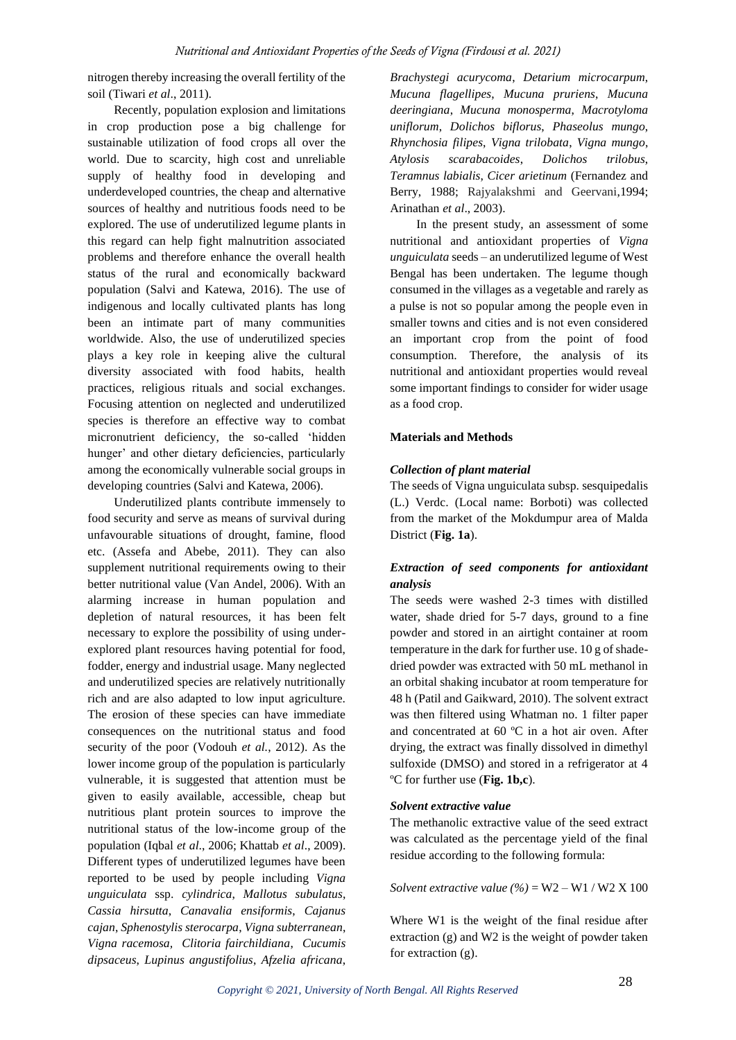nitrogen thereby increasing the overall fertility of the soil (Tiwari *et al*., 2011).

Recently, population explosion and limitations in crop production pose a big challenge for sustainable utilization of food crops all over the world. Due to scarcity, high cost and unreliable supply of healthy food in developing and underdeveloped countries, the cheap and alternative sources of healthy and nutritious foods need to be explored. The use of underutilized legume plants in this regard can help fight malnutrition associated problems and therefore enhance the overall health status of the rural and economically backward population (Salvi and Katewa, 2016). The use of indigenous and locally cultivated plants has long been an intimate part of many communities worldwide. Also, the use of underutilized species plays a key role in keeping alive the cultural diversity associated with food habits, health practices, religious rituals and social exchanges. Focusing attention on neglected and underutilized species is therefore an effective way to combat micronutrient deficiency, the so-called 'hidden hunger' and other dietary deficiencies, particularly among the economically vulnerable social groups in developing countries (Salvi and Katewa, 2006).

Underutilized plants contribute immensely to food security and serve as means of survival during unfavourable situations of drought, famine, flood etc. (Assefa and Abebe, 2011). They can also supplement nutritional requirements owing to their better nutritional value (Van Andel, 2006). With an alarming increase in human population and depletion of natural resources, it has been felt necessary to explore the possibility of using underexplored plant resources having potential for food, fodder, energy and industrial usage. Many neglected and underutilized species are relatively nutritionally rich and are also adapted to low input agriculture. The erosion of these species can have immediate consequences on the nutritional status and food security of the poor (Vodouh *et al.*, 2012). As the lower income group of the population is particularly vulnerable, it is suggested that attention must be given to easily available, accessible, cheap but nutritious plant protein sources to improve the nutritional status of the low-income group of the population (Iqbal *et al*., 2006; Khattab *et al*., 2009). Different types of underutilized legumes have been reported to be used by people including *Vigna unguiculata* ssp. *cylindrica*, *Mallotus subulatus*, *Cassia hirsutta*, *Canavalia ensiformis*, *Cajanus cajan*, *Sphenostylis sterocarpa*, *Vigna subterranean*, *Vigna racemosa, Clitoria fairchildiana*, *Cucumis dipsaceus*, *Lupinus angustifolius*, *Afzelia africana*,

*Brachystegi acurycoma*, *Detarium microcarpum*, *Mucuna flagellipes*, *Mucuna pruriens*, *Mucuna deeringiana*, *Mucuna monosperma*, *Macrotyloma uniflorum*, *Dolichos biflorus*, *Phaseolus mungo*, *Rhynchosia filipes*, *Vigna trilobata*, *Vigna mungo*, *Atylosis scarabacoides*, *Dolichos trilobus*, *Teramnus labialis*, *Cicer arietinum* (Fernandez and Berry, 1988; Rajyalakshmi and Geervani,1994; Arinathan *et al*., 2003).

In the present study, an assessment of some nutritional and antioxidant properties of *Vigna unguiculata* seeds – an underutilized legume of West Bengal has been undertaken. The legume though consumed in the villages as a vegetable and rarely as a pulse is not so popular among the people even in smaller towns and cities and is not even considered an important crop from the point of food consumption. Therefore, the analysis of its nutritional and antioxidant properties would reveal some important findings to consider for wider usage as a food crop.

### **Materials and Methods**

### *Collection of plant material*

The seeds of Vigna unguiculata subsp. sesquipedalis (L.) Verdc. (Local name: Borboti) was collected from the market of the Mokdumpur area of Malda District (**Fig. 1a**).

## *Extraction of seed components for antioxidant analysis*

The seeds were washed 2-3 times with distilled water, shade dried for 5-7 days, ground to a fine powder and stored in an airtight container at room temperature in the dark for further use. 10 g of shadedried powder was extracted with 50 mL methanol in an orbital shaking incubator at room temperature for 48 h (Patil and Gaikward, 2010). The solvent extract was then filtered using Whatman no. 1 filter paper and concentrated at 60 ºC in a hot air oven. After drying, the extract was finally dissolved in dimethyl sulfoxide (DMSO) and stored in a refrigerator at 4 ºC for further use (**Fig. 1b,c**).

### *Solvent extractive value*

The methanolic extractive value of the seed extract was calculated as the percentage yield of the final residue according to the following formula:

### *Solvent extractive value*  $(\%) = W2 - W1 / W2 X 100$

Where W1 is the weight of the final residue after extraction (g) and W2 is the weight of powder taken for extraction (g).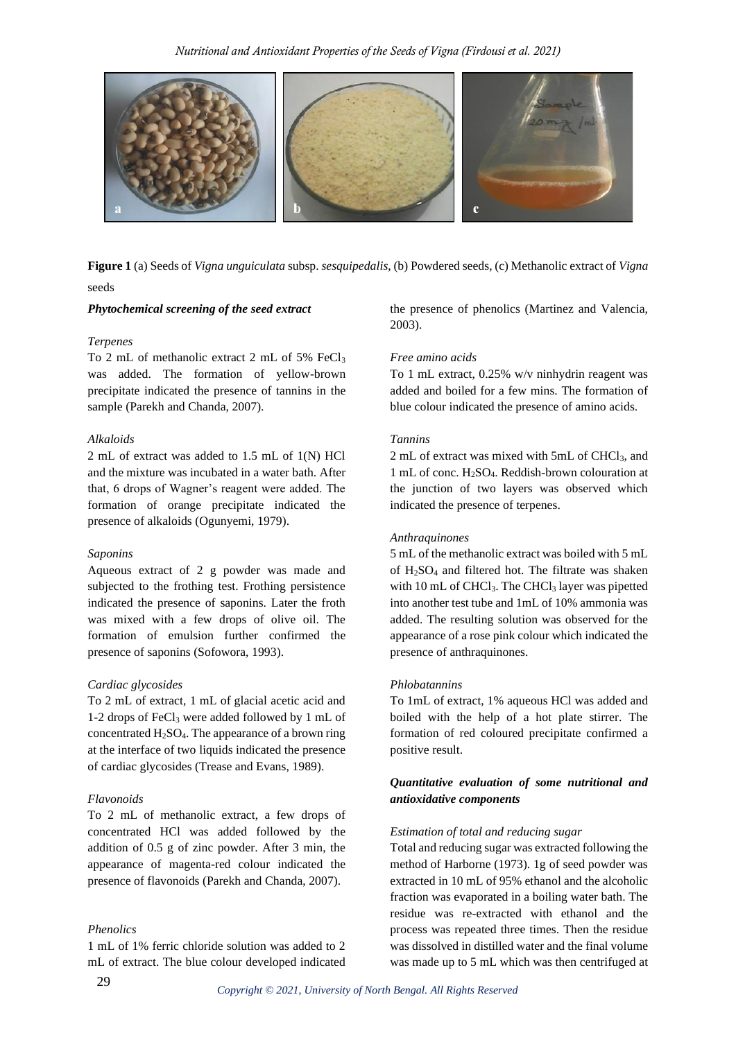

**Figure 1** (a) Seeds of *Vigna unguiculata* subsp. *sesquipedalis*, (b) Powdered seeds, (c) Methanolic extract of *Vigna* seeds

#### *Phytochemical screening of the seed extract*

#### *Terpenes*

To 2 mL of methanolic extract 2 mL of 5% FeCl<sup>3</sup> was added. The formation of yellow-brown precipitate indicated the presence of tannins in the sample (Parekh and Chanda, 2007).

#### *Alkaloids*

2 mL of extract was added to 1.5 mL of 1(N) HCl and the mixture was incubated in a water bath. After that, 6 drops of Wagner's reagent were added. The formation of orange precipitate indicated the presence of alkaloids (Ogunyemi, 1979).

#### *Saponins*

Aqueous extract of 2 g powder was made and subjected to the frothing test. Frothing persistence indicated the presence of saponins. Later the froth was mixed with a few drops of olive oil. The formation of emulsion further confirmed the presence of saponins (Sofowora, 1993).

#### *Cardiac glycosides*

To 2 mL of extract, 1 mL of glacial acetic acid and 1-2 drops of FeCl<sup>3</sup> were added followed by 1 mL of concentrated  $H_2SO_4$ . The appearance of a brown ring at the interface of two liquids indicated the presence of cardiac glycosides (Trease and Evans, 1989).

#### *Flavonoids*

To 2 mL of methanolic extract, a few drops of concentrated HCl was added followed by the addition of 0.5 g of zinc powder. After 3 min, the appearance of magenta-red colour indicated the presence of flavonoids (Parekh and Chanda, 2007).

### *Phenolics*

1 mL of 1% ferric chloride solution was added to 2 mL of extract. The blue colour developed indicated the presence of phenolics (Martinez and Valencia, 2003).

#### *Free amino acids*

To 1 mL extract, 0.25% w/v ninhydrin reagent was added and boiled for a few mins. The formation of blue colour indicated the presence of amino acids.

#### *Tannins*

2 mL of extract was mixed with 5mL of CHCl<sub>3</sub>, and 1 mL of conc. H2SO4. Reddish-brown colouration at the junction of two layers was observed which indicated the presence of terpenes.

#### *Anthraquinones*

5 mL of the methanolic extract was boiled with 5 mL of  $H_2SO_4$  and filtered hot. The filtrate was shaken with 10 mL of CHCl<sub>3</sub>. The CHCl<sub>3</sub> layer was pipetted into another test tube and 1mL of 10% ammonia was added. The resulting solution was observed for the appearance of a rose pink colour which indicated the presence of anthraquinones.

#### *Phlobatannins*

To 1mL of extract, 1% aqueous HCl was added and boiled with the help of a hot plate stirrer. The formation of red coloured precipitate confirmed a positive result.

### *Quantitative evaluation of some nutritional and antioxidative components*

#### *Estimation of total and reducing sugar*

Total and reducing sugar was extracted following the method of Harborne (1973). 1g of seed powder was extracted in 10 mL of 95% ethanol and the alcoholic fraction was evaporated in a boiling water bath. The residue was re-extracted with ethanol and the process was repeated three times. Then the residue was dissolved in distilled water and the final volume was made up to 5 mL which was then centrifuged at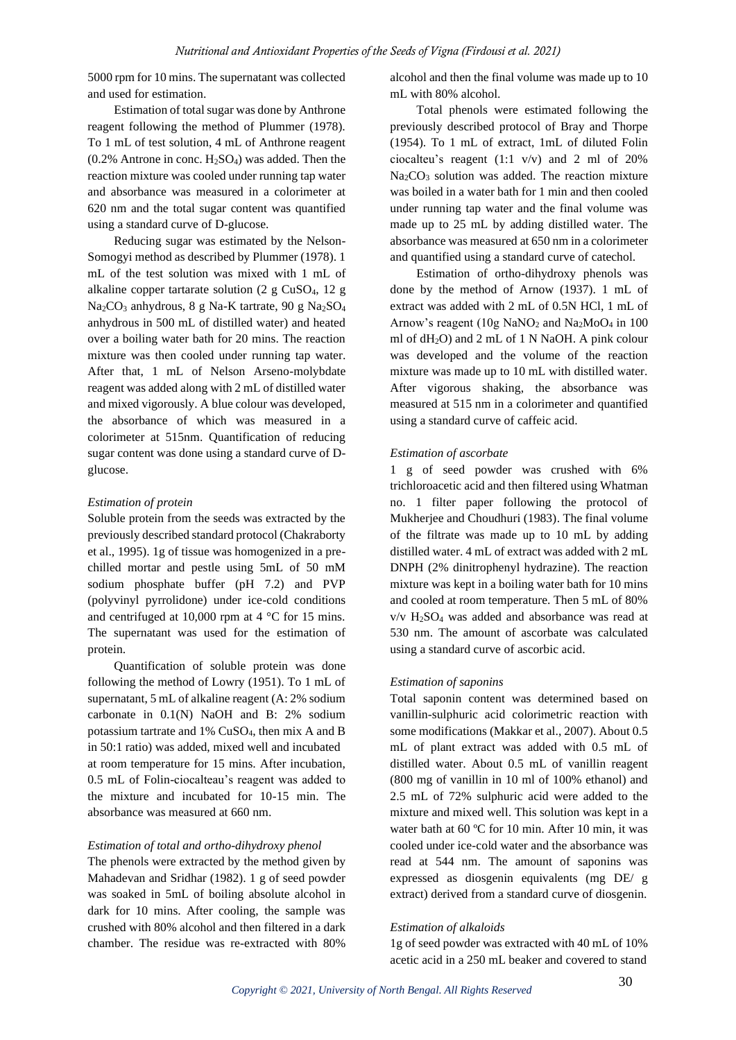5000 rpm for 10 mins. The supernatant was collected and used for estimation.

Estimation of total sugar was done by Anthrone reagent following the method of Plummer (1978). To 1 mL of test solution, 4 mL of Anthrone reagent  $(0.2\%$  Antrone in conc. H<sub>2</sub>SO<sub>4</sub>) was added. Then the reaction mixture was cooled under running tap water and absorbance was measured in a colorimeter at 620 nm and the total sugar content was quantified using a standard curve of D-glucose.

Reducing sugar was estimated by the Nelson-Somogyi method as described by Plummer (1978). 1 mL of the test solution was mixed with 1 mL of alkaline copper tartarate solution  $(2 \text{ g } C \text{ u}SO_4, 12 \text{ g})$ Na2CO<sup>3</sup> anhydrous, 8 g Na-K tartrate, 90 g Na2SO<sup>4</sup> anhydrous in 500 mL of distilled water) and heated over a boiling water bath for 20 mins. The reaction mixture was then cooled under running tap water. After that, 1 mL of Nelson Arseno-molybdate reagent was added along with 2 mL of distilled water and mixed vigorously. A blue colour was developed, the absorbance of which was measured in a colorimeter at 515nm. Quantification of reducing sugar content was done using a standard curve of Dglucose.

#### *Estimation of protein*

Soluble protein from the seeds was extracted by the previously described standard protocol (Chakraborty et al., 1995). 1g of tissue was homogenized in a prechilled mortar and pestle using 5mL of 50 mM sodium phosphate buffer (pH 7.2) and PVP (polyvinyl pyrrolidone) under ice-cold conditions and centrifuged at 10,000 rpm at  $4^{\circ}$ C for 15 mins. The supernatant was used for the estimation of protein.

Quantification of soluble protein was done following the method of Lowry (1951). To 1 mL of supernatant, 5 mL of alkaline reagent (A: 2% sodium carbonate in 0.1(N) NaOH and B: 2% sodium potassium tartrate and 1% CuSO4, then mix A and B in 50:1 ratio) was added, mixed well and incubated at room temperature for 15 mins. After incubation, 0.5 mL of Folin-ciocalteau's reagent was added to the mixture and incubated for 10-15 min. The absorbance was measured at 660 nm.

### *Estimation of total and ortho-dihydroxy phenol*

The phenols were extracted by the method given by Mahadevan and Sridhar (1982). 1 g of seed powder was soaked in 5mL of boiling absolute alcohol in dark for 10 mins. After cooling, the sample was crushed with 80% alcohol and then filtered in a dark chamber. The residue was re-extracted with 80%

alcohol and then the final volume was made up to 10 mL with 80% alcohol.

Total phenols were estimated following the previously described protocol of Bray and Thorpe (1954). To 1 mL of extract, 1mL of diluted Folin ciocalteu's reagent (1:1 v/v) and 2 ml of 20%  $Na<sub>2</sub>CO<sub>3</sub>$  solution was added. The reaction mixture was boiled in a water bath for 1 min and then cooled under running tap water and the final volume was made up to 25 mL by adding distilled water. The absorbance was measured at 650 nm in a colorimeter and quantified using a standard curve of catechol.

Estimation of ortho-dihydroxy phenols was done by the method of Arnow (1937). 1 mL of extract was added with 2 mL of 0.5N HCl, 1 mL of Arnow's reagent  $(10g \text{ NaNO}_2 \text{ and } \text{Na}_2 \text{MoO}_4 \text{ in } 100$ ml of dH2O) and 2 mL of 1 N NaOH. A pink colour was developed and the volume of the reaction mixture was made up to 10 mL with distilled water. After vigorous shaking, the absorbance was measured at 515 nm in a colorimeter and quantified using a standard curve of caffeic acid.

#### *Estimation of ascorbate*

1 g of seed powder was crushed with 6% trichloroacetic acid and then filtered using Whatman no. 1 filter paper following the protocol of Mukherjee and Choudhuri (1983). The final volume of the filtrate was made up to 10 mL by adding distilled water. 4 mL of extract was added with 2 mL DNPH (2% dinitrophenyl hydrazine). The reaction mixture was kept in a boiling water bath for 10 mins and cooled at room temperature. Then 5 mL of 80% v/v H2SO<sup>4</sup> was added and absorbance was read at 530 nm. The amount of ascorbate was calculated using a standard curve of ascorbic acid.

#### *Estimation of saponins*

Total saponin content was determined based on vanillin-sulphuric acid colorimetric reaction with some modifications (Makkar et al., 2007). About 0.5 mL of plant extract was added with 0.5 mL of distilled water. About 0.5 mL of vanillin reagent (800 mg of vanillin in 10 ml of 100% ethanol) and 2.5 mL of 72% sulphuric acid were added to the mixture and mixed well. This solution was kept in a water bath at 60 °C for 10 min. After 10 min, it was cooled under ice-cold water and the absorbance was read at 544 nm. The amount of saponins was expressed as diosgenin equivalents (mg DE/ g extract) derived from a standard curve of diosgenin.

#### *Estimation of alkaloids*

1g of seed powder was extracted with 40 mL of 10% acetic acid in a 250 mL beaker and covered to stand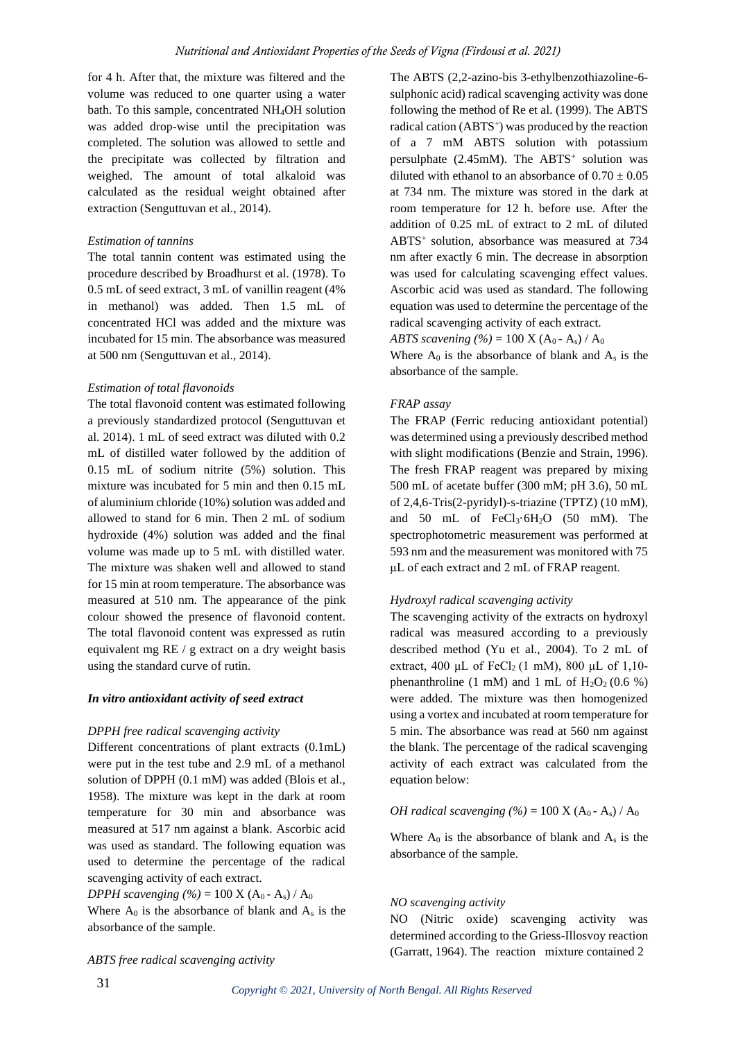for 4 h. After that, the mixture was filtered and the volume was reduced to one quarter using a water bath. To this sample, concentrated NH4OH solution was added drop-wise until the precipitation was completed. The solution was allowed to settle and the precipitate was collected by filtration and weighed. The amount of total alkaloid was calculated as the residual weight obtained after extraction (Senguttuvan et al., 2014).

### *Estimation of tannins*

The total tannin content was estimated using the procedure described by Broadhurst et al. (1978). To 0.5 mL of seed extract, 3 mL of vanillin reagent (4% in methanol) was added. Then 1.5 mL of concentrated HCl was added and the mixture was incubated for 15 min. The absorbance was measured at 500 nm (Senguttuvan et al., 2014).

### *Estimation of total flavonoids*

The total flavonoid content was estimated following a previously standardized protocol (Senguttuvan et al. 2014). 1 mL of seed extract was diluted with 0.2 mL of distilled water followed by the addition of 0.15 mL of sodium nitrite (5%) solution. This mixture was incubated for 5 min and then 0.15 mL of aluminium chloride (10%) solution was added and allowed to stand for 6 min. Then 2 mL of sodium hydroxide (4%) solution was added and the final volume was made up to 5 mL with distilled water. The mixture was shaken well and allowed to stand for 15 min at room temperature. The absorbance was measured at 510 nm. The appearance of the pink colour showed the presence of flavonoid content. The total flavonoid content was expressed as rutin equivalent mg RE / g extract on a dry weight basis using the standard curve of rutin.

#### *In vitro antioxidant activity of seed extract*

#### *DPPH free radical scavenging activity*

Different concentrations of plant extracts (0.1mL) were put in the test tube and 2.9 mL of a methanol solution of DPPH (0.1 mM) was added (Blois et al., 1958). The mixture was kept in the dark at room temperature for 30 min and absorbance was measured at 517 nm against a blank. Ascorbic acid was used as standard. The following equation was used to determine the percentage of the radical scavenging activity of each extract.

*DPPH scavenging (%)* = 100 X (A<sub>0</sub> - A<sub>s</sub>) / A<sub>0</sub> Where  $A_0$  is the absorbance of blank and  $A_s$  is the absorbance of the sample.

The ABTS (2,2-azino-bis 3-ethylbenzothiazoline-6 sulphonic acid) radical scavenging activity was done following the method of Re et al. (1999). The ABTS radical cation (ABTS<sup>+</sup>) was produced by the reaction of a 7 mM ABTS solution with potassium persulphate  $(2.45 \text{mM})$ . The ABTS<sup>+</sup> solution was diluted with ethanol to an absorbance of  $0.70 \pm 0.05$ at 734 nm. The mixture was stored in the dark at room temperature for 12 h. before use. After the addition of 0.25 mL of extract to 2 mL of diluted ABTS<sup>+</sup> solution, absorbance was measured at 734 nm after exactly 6 min. The decrease in absorption was used for calculating scavenging effect values. Ascorbic acid was used as standard. The following equation was used to determine the percentage of the radical scavenging activity of each extract.

*ABTS scavening (%)* = 100 X ( $A_0$  -  $A_s$ ) /  $A_0$ 

Where  $A_0$  is the absorbance of blank and  $A_s$  is the absorbance of the sample.

#### *FRAP assay*

The FRAP (Ferric reducing antioxidant potential) was determined using a previously described method with slight modifications (Benzie and Strain, 1996). The fresh FRAP reagent was prepared by mixing 500 mL of acetate buffer (300 mM; pH 3.6), 50 mL of 2,4,6-Tris(2-pyridyl)-s-triazine (TPTZ) (10 mM), and 50 mL of  $FeCl<sub>3</sub>·6H<sub>2</sub>O$  (50 mM). The spectrophotometric measurement was performed at 593 nm and the measurement was monitored with 75 μL of each extract and 2 mL of FRAP reagent.

#### *Hydroxyl radical scavenging activity*

The scavenging activity of the extracts on hydroxyl radical was measured according to a previously described method (Yu et al., 2004). To 2 mL of extract, 400 μL of  $FeCl<sub>2</sub>$  (1 mM), 800 μL of 1,10phenanthroline (1 mM) and 1 mL of  $H_2O_2$  (0.6 %) were added. The mixture was then homogenized using a vortex and incubated at room temperature for 5 min. The absorbance was read at 560 nm against the blank. The percentage of the radical scavenging activity of each extract was calculated from the equation below:

### *OH radical scavenging*  $(\% ) = 100$  X (A<sub>0</sub> - A<sub>s</sub>) / A<sub>0</sub>

Where  $A_0$  is the absorbance of blank and  $A_s$  is the absorbance of the sample.

#### *NO scavenging activity*

NO (Nitric oxide) scavenging activity was determined according to the Griess-Illosvoy reaction (Garratt, 1964). The reaction mixture contained 2

*ABTS free radical scavenging activity*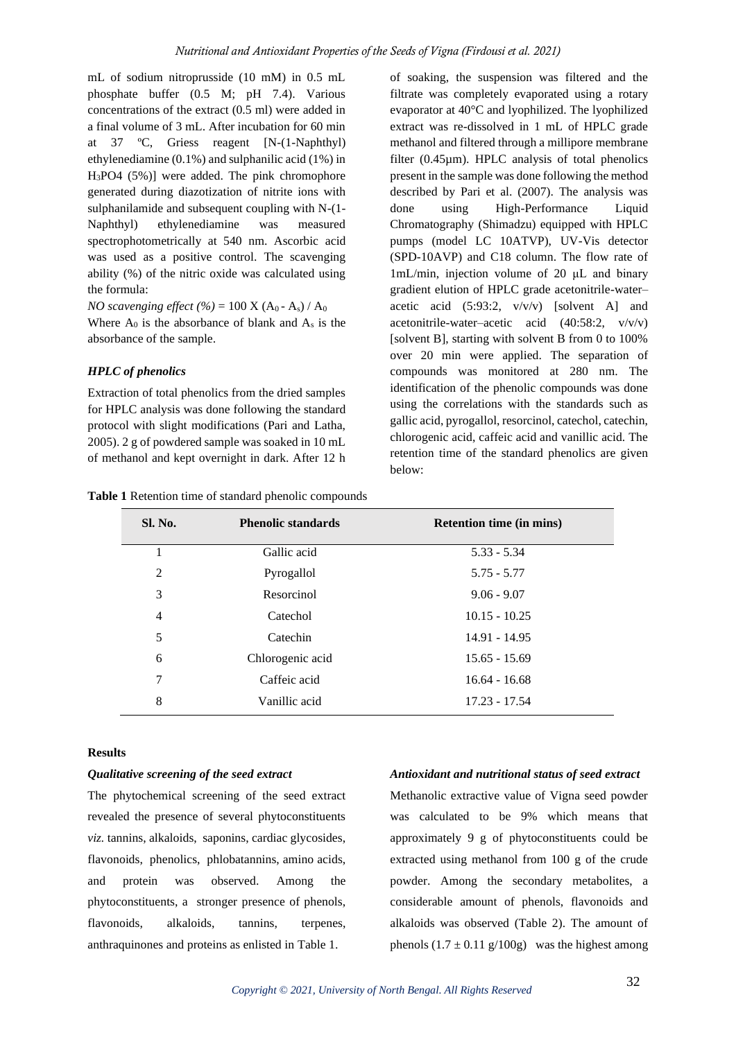mL of sodium nitroprusside (10 mM) in 0.5 mL phosphate buffer (0.5 M; pH 7.4). Various concentrations of the extract (0.5 ml) were added in a final volume of 3 mL. After incubation for 60 min at 37 ºC, Griess reagent [N-(1-Naphthyl) ethylenediamine (0.1%) and sulphanilic acid (1%) in H3PO4 (5%)] were added. The pink chromophore generated during diazotization of nitrite ions with sulphanilamide and subsequent coupling with N-(1- Naphthyl) ethylenediamine was measured spectrophotometrically at 540 nm. Ascorbic acid was used as a positive control. The scavenging ability (%) of the nitric oxide was calculated using the formula:

*NO scavenging effect* (%) = 100 X ( $A_0$  -  $A_s$ ) /  $A_0$ Where  $A_0$  is the absorbance of blank and  $A_s$  is the absorbance of the sample.

# *HPLC of phenolics*

Extraction of total phenolics from the dried samples for HPLC analysis was done following the standard protocol with slight modifications (Pari and Latha, 2005). 2 g of powdered sample was soaked in 10 mL of methanol and kept overnight in dark. After 12 h of soaking, the suspension was filtered and the filtrate was completely evaporated using a rotary evaporator at 40°C and lyophilized. The lyophilized extract was re-dissolved in 1 mL of HPLC grade methanol and filtered through a millipore membrane filter (0.45µm). HPLC analysis of total phenolics present in the sample was done following the method described by Pari et al. (2007). The analysis was done using High-Performance Liquid Chromatography (Shimadzu) equipped with HPLC pumps (model LC 10ATVP), UV-Vis detector (SPD-10AVP) and C18 column. The flow rate of 1mL/min, injection volume of 20 μL and binary gradient elution of HPLC grade acetonitrile-water– acetic acid (5:93:2, v/v/v) [solvent A] and acetonitrile-water–acetic acid (40:58:2, v/v/v) [solvent B], starting with solvent B from 0 to 100% over 20 min were applied. The separation of compounds was monitored at 280 nm. The identification of the phenolic compounds was done using the correlations with the standards such as gallic acid, pyrogallol, resorcinol, catechol, catechin, chlorogenic acid, caffeic acid and vanillic acid. The retention time of the standard phenolics are given below:

| Sl. No. | <b>Phenolic standards</b> | <b>Retention time (in mins)</b> |
|---------|---------------------------|---------------------------------|
|         | Gallic acid               | 5.33 - 5.34                     |
|         | Pyrogallol                | 5.75 - 5.77                     |

 Resorcinol 9.06 - 9.07 Catechol 10.15 - 10.25 5 Catechin 14.91 - 14.95 Chlorogenic acid 15.65 - 15.69 Caffeic acid 16.64 - 16.68 Vanillic acid 17.23 - 17.54

**Table 1** Retention time of standard phenolic compounds

### **Results**

#### *Qualitative screening of the seed extract*

The phytochemical screening of the seed extract revealed the presence of several phytoconstituents *viz.* tannins, alkaloids, saponins, cardiac glycosides, flavonoids, phenolics, phlobatannins, amino acids, and protein was observed. Among the phytoconstituents, a stronger presence of phenols, flavonoids, alkaloids, tannins, terpenes, anthraquinones and proteins as enlisted in Table 1.

### *Antioxidant and nutritional status of seed extract*

Methanolic extractive value of Vigna seed powder was calculated to be 9% which means that approximately 9 g of phytoconstituents could be extracted using methanol from 100 g of the crude powder. Among the secondary metabolites, a considerable amount of phenols, flavonoids and alkaloids was observed (Table 2). The amount of phenols  $(1.7 \pm 0.11 \text{ g}/100 \text{ g})$  was the highest among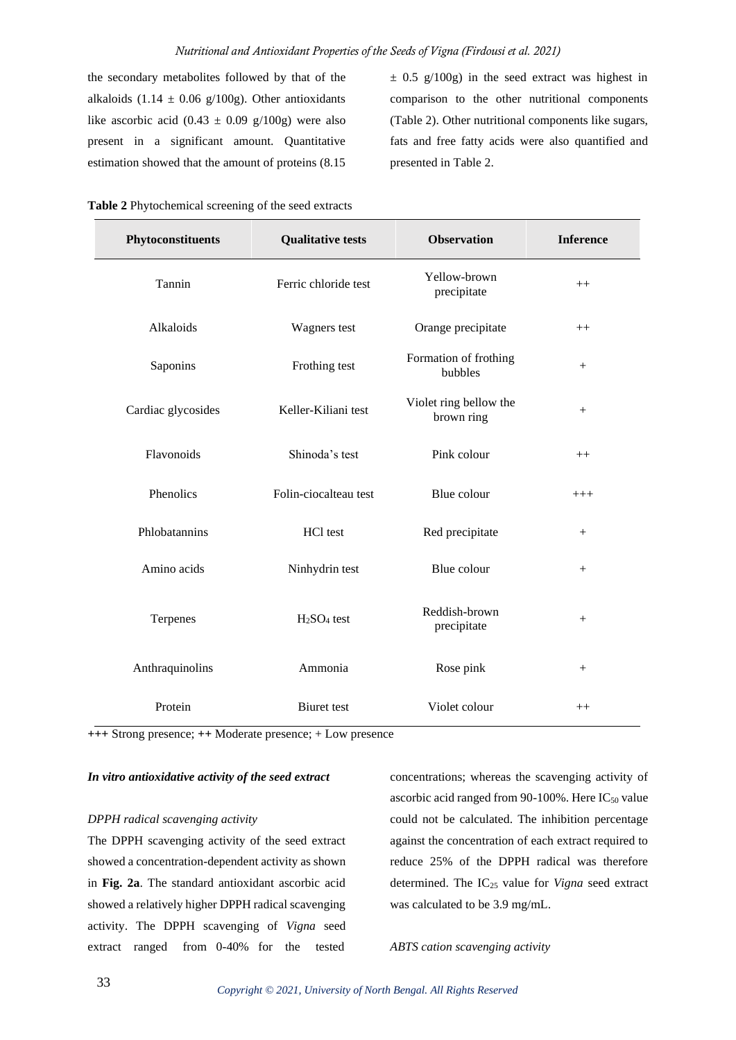the secondary metabolites followed by that of the alkaloids (1.14  $\pm$  0.06 g/100g). Other antioxidants like ascorbic acid  $(0.43 \pm 0.09 \text{ g}/100 \text{g})$  were also present in a significant amount. Quantitative estimation showed that the amount of proteins (8.15

 $\pm$  0.5 g/100g) in the seed extract was highest in comparison to the other nutritional components (Table 2). Other nutritional components like sugars, fats and free fatty acids were also quantified and presented in Table 2.

| Phytoconstituents  | <b>Qualitative tests</b> | <b>Observation</b>                   | <b>Inference</b> |
|--------------------|--------------------------|--------------------------------------|------------------|
| Tannin             | Ferric chloride test     | Yellow-brown<br>precipitate          | $++$             |
| Alkaloids          | Wagners test             | Orange precipitate                   | $++$             |
| Saponins           | Frothing test            | Formation of frothing<br>bubbles     | $^{+}$           |
| Cardiac glycosides | Keller-Kiliani test      | Violet ring bellow the<br>brown ring | $+$              |
| Flavonoids         | Shinoda's test           | Pink colour                          | $++$             |
| Phenolics          | Folin-ciocalteau test    | Blue colour                          | $+++$            |
| Phlobatannins      | HCl test                 | Red precipitate                      | $+$              |
| Amino acids        | Ninhydrin test           | Blue colour                          | $^{+}$           |
| Terpenes           | $H2SO4$ test             | Reddish-brown<br>precipitate         | $+$              |
| Anthraquinolins    | Ammonia                  | Rose pink                            | $+$              |
| Protein            | <b>Biuret</b> test       | Violet colour                        | $++$             |

| Table 2 Phytochemical screening of the seed extracts |  |  |
|------------------------------------------------------|--|--|
|------------------------------------------------------|--|--|

**+++** Strong presence; **++** Moderate presence; + Low presence

### *In vitro antioxidative activity of the seed extract*

#### *DPPH radical scavenging activity*

The DPPH scavenging activity of the seed extract showed a concentration-dependent activity as shown in **Fig. 2a**. The standard antioxidant ascorbic acid showed a relatively higher DPPH radical scavenging activity. The DPPH scavenging of *Vigna* seed extract ranged from 0-40% for the tested

concentrations; whereas the scavenging activity of ascorbic acid ranged from 90-100%. Here  $IC_{50}$  value could not be calculated. The inhibition percentage against the concentration of each extract required to reduce 25% of the DPPH radical was therefore determined. The IC<sup>25</sup> value for *Vigna* seed extract was calculated to be 3.9 mg/mL.

*ABTS cation scavenging activity*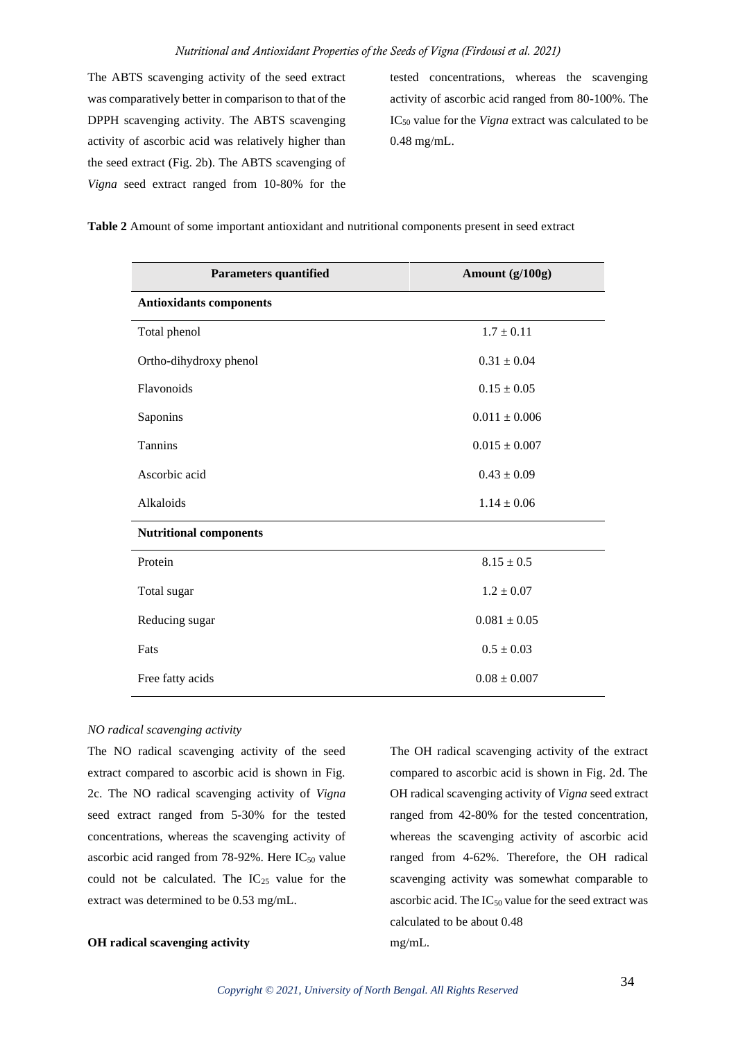The ABTS scavenging activity of the seed extract was comparatively better in comparison to that of the DPPH scavenging activity. The ABTS scavenging activity of ascorbic acid was relatively higher than the seed extract (Fig. 2b). The ABTS scavenging of *Vigna* seed extract ranged from 10-80% for the tested concentrations, whereas the scavenging activity of ascorbic acid ranged from 80-100%. The IC<sup>50</sup> value for the *Vigna* extract was calculated to be 0.48 mg/mL.

| <b>Parameters quantified</b>   | Amount (g/100g)   |  |  |  |
|--------------------------------|-------------------|--|--|--|
| <b>Antioxidants components</b> |                   |  |  |  |
| Total phenol                   | $1.7 \pm 0.11$    |  |  |  |
| Ortho-dihydroxy phenol         | $0.31 \pm 0.04$   |  |  |  |
| Flavonoids                     | $0.15 \pm 0.05$   |  |  |  |
| Saponins                       | $0.011 \pm 0.006$ |  |  |  |
| Tannins                        | $0.015 \pm 0.007$ |  |  |  |
| Ascorbic acid                  | $0.43 \pm 0.09$   |  |  |  |
| Alkaloids                      | $1.14 \pm 0.06$   |  |  |  |
| <b>Nutritional components</b>  |                   |  |  |  |
| Protein                        | $8.15 \pm 0.5$    |  |  |  |
| Total sugar                    | $1.2 \pm 0.07$    |  |  |  |
| Reducing sugar                 | $0.081 \pm 0.05$  |  |  |  |
| Fats                           | $0.5 \pm 0.03$    |  |  |  |
| Free fatty acids               | $0.08\pm0.007$    |  |  |  |

**Table 2** Amount of some important antioxidant and nutritional components present in seed extract

### *NO radical scavenging activity*

The NO radical scavenging activity of the seed extract compared to ascorbic acid is shown in Fig. 2c. The NO radical scavenging activity of *Vigna* seed extract ranged from 5-30% for the tested concentrations, whereas the scavenging activity of ascorbic acid ranged from 78-92%. Here  $IC_{50}$  value could not be calculated. The  $IC_{25}$  value for the extract was determined to be 0.53 mg/mL.

# **OH radical scavenging activity**

The OH radical scavenging activity of the extract compared to ascorbic acid is shown in Fig. 2d. The OH radical scavenging activity of *Vigna* seed extract ranged from 42-80% for the tested concentration, whereas the scavenging activity of ascorbic acid ranged from 4-62%. Therefore, the OH radical scavenging activity was somewhat comparable to ascorbic acid. The  $IC_{50}$  value for the seed extract was calculated to be about 0.48 mg/mL.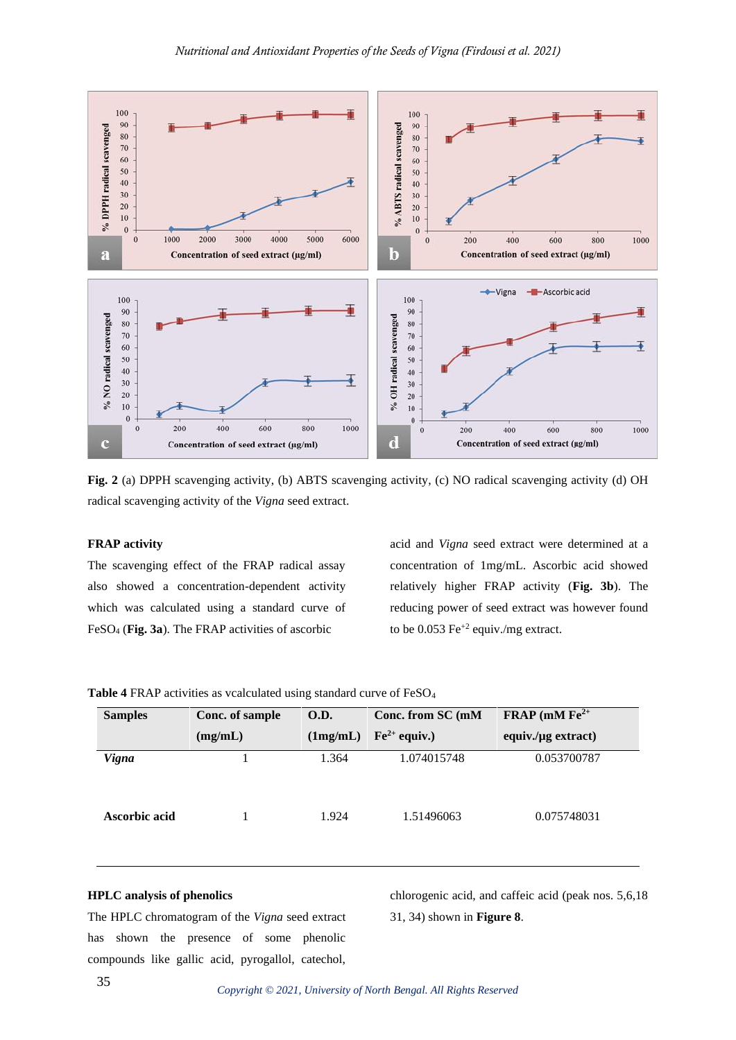

**Fig. 2** (a) DPPH scavenging activity, (b) ABTS scavenging activity, (c) NO radical scavenging activity (d) OH radical scavenging activity of the *Vigna* seed extract.

#### **FRAP activity**

The scavenging effect of the FRAP radical assay also showed a concentration-dependent activity which was calculated using a standard curve of FeSO<sup>4</sup> (**Fig. 3a**). The FRAP activities of ascorbic

acid and *Vigna* seed extract were determined at a concentration of 1mg/mL. Ascorbic acid showed relatively higher FRAP activity (**Fig. 3b**). The reducing power of seed extract was however found to be  $0.053 \text{ Fe}^{+2}$  equiv./mg extract.

| <b>Samples</b> | Conc. of sample | O.D.     | Conc. from SC (mM | FRAP (mM $Fe2+$          |
|----------------|-----------------|----------|-------------------|--------------------------|
|                | (mg/mL)         | (1mg/mL) | $Fe2+$ equiv.)    | equiv./ $\mu$ g extract) |
| <b>Vigna</b>   |                 | 1.364    | 1.074015748       | 0.053700787              |
| Ascorbic acid  |                 | 1.924    | 1.51496063        | 0.075748031              |

**Table 4** FRAP activities as vcalculated using standard curve of FeSO<sup>4</sup>

### **HPLC analysis of phenolics**

The HPLC chromatogram of the *Vigna* seed extract has shown the presence of some phenolic compounds like gallic acid, pyrogallol, catechol,

chlorogenic acid, and caffeic acid (peak nos. 5,6,18 31, 34) shown in **Figure 8**.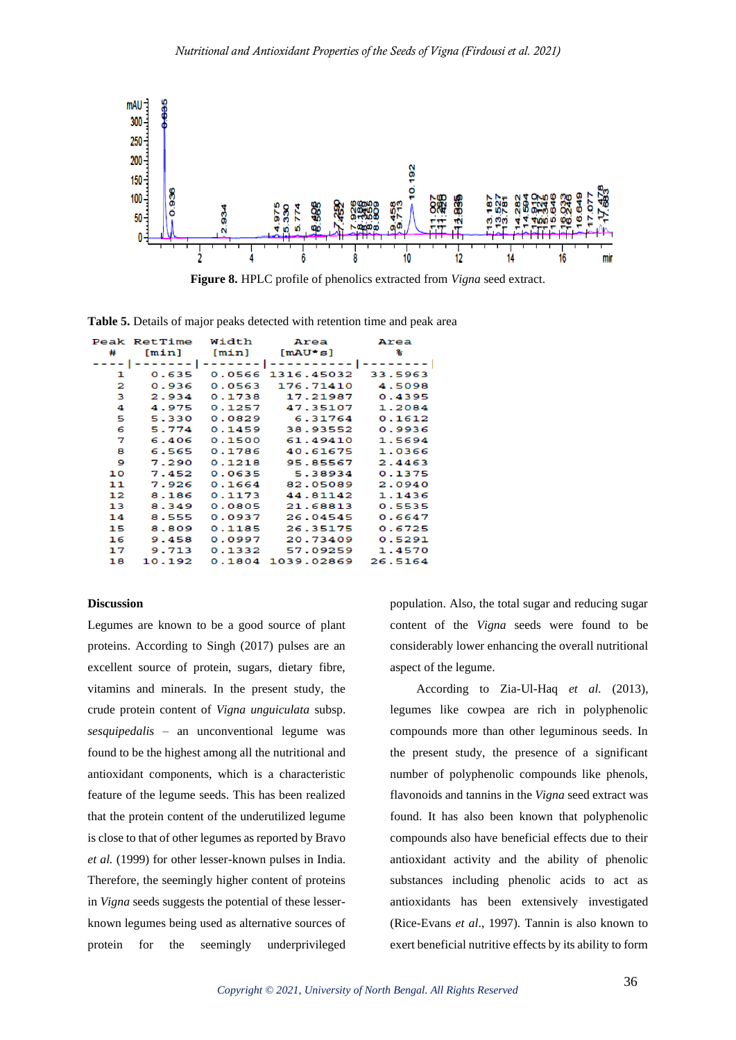

**Figure 8.** HPLC profile of phenolics extracted from *Vigna* seed extract.

**Table 5.** Details of major peaks detected with retention time and peak area

|        | Peak RetTime Width |        | Area                               | Area    |
|--------|--------------------|--------|------------------------------------|---------|
| #      | [min]              |        | $[m\sin]$ $[mAU* s]$               | ℁       |
| ---- 1 |                    |        | ------- ------- ---------- ------- |         |
| ı      | 0.635              |        | 0.0566 1316.45032                  | 33.5963 |
| 2      | 0.936              | 0.0563 | 176.71410                          | 4.5098  |
| з      | 2.934              | 0.1738 | 17.21987                           | 0.4395  |
| 4      | 4.975              | 0.1257 | 47.35107                           | 1.2084  |
| 5      | 5.330              | 0.0829 | 6.31764                            | 0.1612  |
| 6      | 5.774              | 0.1459 | 38.93552                           | 0.9936  |
| 7      | 6.406              | 0.1500 | 61.49410                           | 1.5694  |
| 8      | 6.565              | 0.1786 | 40.61675                           | 1.0366  |
| 9      | 7.290              | 0.1218 | 95.85567                           | 2.4463  |
| 10     | 7.452              | 0.0635 | 5.38934                            | 0.1375  |
| 11     | 7.926              | 0.1664 | 82.05089                           | 2.0940  |
| 12     | 8.186              | 0.1173 | 44.81142                           | 1.1436  |
| 13     | 8.349              | 0.0805 | 21.68813                           | 0.5535  |
| 14     | 8.555              | 0.0937 | 26.04545                           | 0.6647  |
| 15     | 8.809              | 0.1185 | 26.35175                           | 0.6725  |
| 16     | 9.458              | 0.0997 | 20.73409                           | 0.5291  |
| 17     | 9.713              | 0.1332 | 57.09259                           | 1.4570  |
| 18     | 10.192             |        | 0.1804 1039.02869                  | 26.5164 |

### **Discussion**

Legumes are known to be a good source of plant proteins. According to Singh (2017) pulses are an excellent source of protein, sugars, dietary fibre, vitamins and minerals. In the present study, the crude protein content of *Vigna unguiculata* subsp. *sesquipedalis* – an unconventional legume was found to be the highest among all the nutritional and antioxidant components, which is a characteristic feature of the legume seeds. This has been realized that the protein content of the underutilized legume is close to that of other legumes as reported by Bravo *et al.* (1999) for other lesser-known pulses in India. Therefore, the seemingly higher content of proteins in *Vigna* seeds suggests the potential of these lesserknown legumes being used as alternative sources of protein for the seemingly underprivileged

population. Also, the total sugar and reducing sugar content of the *Vigna* seeds were found to be considerably lower enhancing the overall nutritional aspect of the legume.

According to Zia-Ul-Haq *et al.* (2013), legumes like cowpea are rich in polyphenolic compounds more than other leguminous seeds. In the present study, the presence of a significant number of polyphenolic compounds like phenols, flavonoids and tannins in the *Vigna* seed extract was found. It has also been known that polyphenolic compounds also have beneficial effects due to their antioxidant activity and the ability of phenolic substances including phenolic acids to act as antioxidants has been extensively investigated (Rice-Evans *et al*., 1997). Tannin is also known to exert beneficial nutritive effects by its ability to form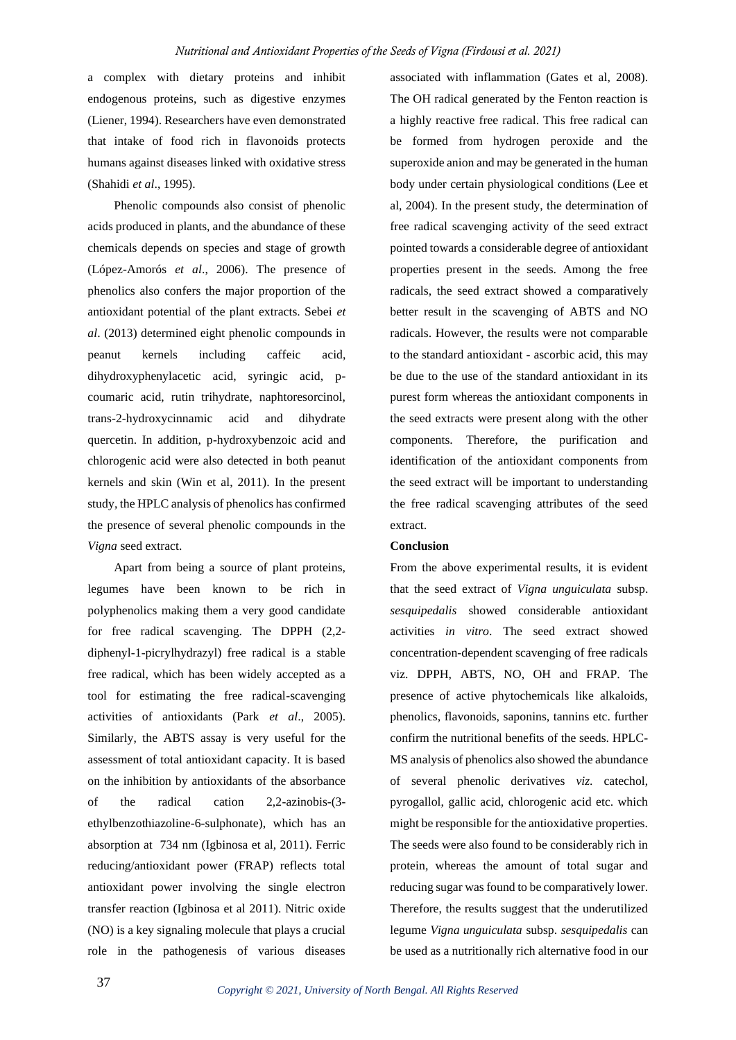a complex with dietary proteins and inhibit endogenous proteins, such as digestive enzymes (Liener, 1994). Researchers have even demonstrated that intake of food rich in flavonoids protects humans against diseases linked with oxidative stress (Shahidi *et al*., 1995).

Phenolic compounds also consist of phenolic acids produced in plants, and the abundance of these chemicals depends on species and stage of growth (López-Amorós *et al*., 2006). The presence of phenolics also confers the major proportion of the antioxidant potential of the plant extracts. Sebei *et al*. (2013) determined eight phenolic compounds in peanut kernels including caffeic acid, dihydroxyphenylacetic acid, syringic acid, pcoumaric acid, rutin trihydrate, naphtoresorcinol, trans-2-hydroxycinnamic acid and dihydrate quercetin. In addition, p-hydroxybenzoic acid and chlorogenic acid were also detected in both peanut kernels and skin (Win et al, 2011). In the present study, the HPLC analysis of phenolics has confirmed the presence of several phenolic compounds in the *Vigna* seed extract.

Apart from being a source of plant proteins, legumes have been known to be rich in polyphenolics making them a very good candidate for free radical scavenging. The DPPH (2,2 diphenyl-1-picrylhydrazyl) free radical is a stable free radical, which has been widely accepted as a tool for estimating the free radical-scavenging activities of antioxidants (Park *et al*., 2005). Similarly, the ABTS assay is very useful for the assessment of total antioxidant capacity. It is based on the inhibition by antioxidants of the absorbance of the radical cation 2,2-azinobis-(3 ethylbenzothiazoline-6-sulphonate), which has an absorption at 734 nm (Igbinosa et al, 2011). Ferric reducing/antioxidant power (FRAP) reflects total antioxidant power involving the single electron transfer reaction (Igbinosa et al 2011). Nitric oxide (NO) is a key signaling molecule that plays a crucial role in the pathogenesis of various diseases

associated with inflammation (Gates et al, 2008). The OH radical generated by the Fenton reaction is a highly reactive free radical. This free radical can be formed from hydrogen peroxide and the superoxide anion and may be generated in the human body under certain physiological conditions (Lee et al, 2004). In the present study, the determination of free radical scavenging activity of the seed extract pointed towards a considerable degree of antioxidant properties present in the seeds. Among the free radicals, the seed extract showed a comparatively better result in the scavenging of ABTS and NO radicals. However, the results were not comparable to the standard antioxidant - ascorbic acid, this may be due to the use of the standard antioxidant in its purest form whereas the antioxidant components in the seed extracts were present along with the other components. Therefore, the purification and identification of the antioxidant components from the seed extract will be important to understanding the free radical scavenging attributes of the seed extract.

#### **Conclusion**

From the above experimental results, it is evident that the seed extract of *Vigna unguiculata* subsp. *sesquipedalis* showed considerable antioxidant activities *in vitro*. The seed extract showed concentration-dependent scavenging of free radicals viz. DPPH, ABTS, NO, OH and FRAP. The presence of active phytochemicals like alkaloids, phenolics, flavonoids, saponins, tannins etc. further confirm the nutritional benefits of the seeds. HPLC-MS analysis of phenolics also showed the abundance of several phenolic derivatives *viz*. catechol, pyrogallol, gallic acid, chlorogenic acid etc. which might be responsible for the antioxidative properties. The seeds were also found to be considerably rich in protein, whereas the amount of total sugar and reducing sugar was found to be comparatively lower. Therefore, the results suggest that the underutilized legume *Vigna unguiculata* subsp. *sesquipedalis* can be used as a nutritionally rich alternative food in our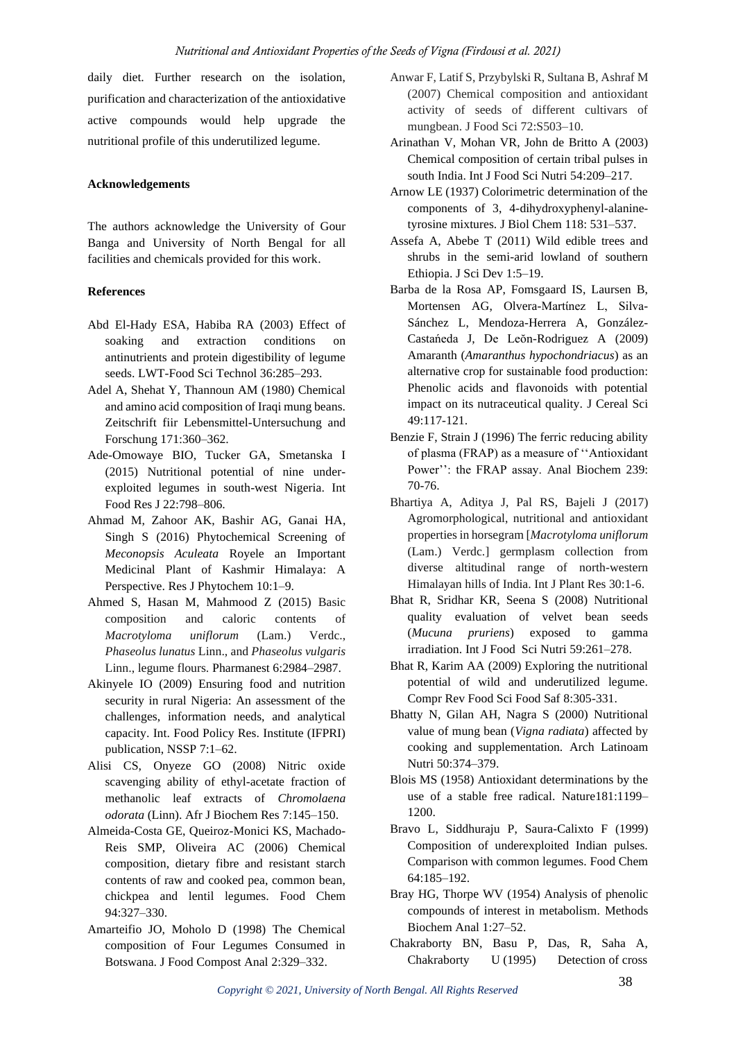daily diet. Further research on the isolation, purification and characterization of the antioxidative active compounds would help upgrade the nutritional profile of this underutilized legume.

### **Acknowledgements**

The authors acknowledge the University of Gour Banga and University of North Bengal for all facilities and chemicals provided for this work.

### **References**

- Abd El-Hady ESA, Habiba RA (2003) Effect of soaking and extraction conditions on antinutrients and protein digestibility of legume seeds. LWT-Food Sci Technol 36:285–293.
- Adel A, Shehat Y, Thannoun AM (1980) Chemical and amino acid composition of Iraqi mung beans. Zeitschrift fiir Lebensmittel-Untersuchung and Forschung 171:360–362.
- Ade-Omowaye BIO, Tucker GA, Smetanska I (2015) Nutritional potential of nine underexploited legumes in south-west Nigeria. Int Food Res J 22:798–806.
- Ahmad M, Zahoor AK, Bashir AG, Ganai HA, Singh S (2016) Phytochemical Screening of *Meconopsis Aculeata* Royele an Important Medicinal Plant of Kashmir Himalaya: A Perspective. Res J Phytochem 10:1–9.
- Ahmed S, Hasan M, Mahmood Z (2015) Basic composition and caloric contents of *Macrotyloma uniflorum* (Lam.) Verdc., *Phaseolus lunatus* Linn., and *Phaseolus vulgaris* Linn., legume flours. Pharmanest 6:2984–2987.
- Akinyele IO (2009) Ensuring food and nutrition security in rural Nigeria: An assessment of the challenges, information needs, and analytical capacity. Int. Food Policy Res. Institute (IFPRI) publication, NSSP 7:1–62.
- Alisi CS, Onyeze GO (2008) Nitric oxide scavenging ability of ethyl-acetate fraction of methanolic leaf extracts of *Chromolaena odorata* (Linn). Afr J Biochem Res 7:145–150.
- Almeida-Costa GE, Queiroz-Monici KS, Machado-Reis SMP, Oliveira AC (2006) Chemical composition, dietary fibre and resistant starch contents of raw and cooked pea, common bean, chickpea and lentil legumes. Food Chem 94:327–330.
- Amarteifio JO, Moholo D (1998) The Chemical composition of Four Legumes Consumed in Botswana. J Food Compost Anal 2:329–332.
- Anwar F, Latif S, Przybylski R, Sultana B, Ashraf M (2007) Chemical composition and antioxidant activity of seeds of different cultivars of mungbean. J Food Sci 72:S503–10.
- Arinathan V, Mohan VR, John de Britto A (2003) Chemical composition of certain tribal pulses in south India. Int J Food Sci Nutri 54:209–217.
- Arnow LE (1937) Colorimetric determination of the components of 3, 4-dihydroxyphenyl-alaninetyrosine mixtures. J Biol Chem 118: 531–537.
- Assefa A, Abebe T (2011) Wild edible trees and shrubs in the semi-arid lowland of southern Ethiopia. J Sci Dev 1:5–19.
- Barba de la Rosa AP, Fomsgaard IS, Laursen B, Mortensen AG, Olvera-Martίnez L, Silva-Sánchez L, Mendoza-Herrera A, González-Castańeda J, De Leŏn-Rodriguez A (2009) Amaranth (*Amaranthus hypochondriacus*) as an alternative crop for sustainable food production: Phenolic acids and flavonoids with potential impact on its nutraceutical quality. J Cereal Sci 49:117-121.
- Benzie F, Strain J (1996) The ferric reducing ability of plasma (FRAP) as a measure of ''Antioxidant Power'': the FRAP assay. Anal Biochem 239: 70-76.
- Bhartiya A, Aditya J, Pal RS, Bajeli J (2017) Agromorphological, nutritional and antioxidant properties in horsegram [*Macrotyloma uniflorum* (Lam.) Verdc.] germplasm collection from diverse altitudinal range of north-western Himalayan hills of India. Int J Plant Res 30:1-6.
- Bhat R, Sridhar KR, Seena S (2008) Nutritional quality evaluation of velvet bean seeds (*Mucuna pruriens*) exposed to gamma irradiation. Int J Food Sci Nutri 59:261–278.
- Bhat R, Karim AA (2009) Exploring the nutritional potential of wild and underutilized legume. Compr Rev Food Sci Food Saf 8:305-331.
- Bhatty N, Gilan AH, Nagra S (2000) Nutritional value of mung bean (*Vigna radiata*) affected by cooking and supplementation. Arch Latinoam Nutri 50:374–379.
- Blois MS (1958) Antioxidant determinations by the use of a stable free radical. Nature181:1199– 1200.
- Bravo L, Siddhuraju P, Saura-Calixto F (1999) Composition of underexploited Indian pulses. Comparison with common legumes. Food Chem 64:185–192.
- Bray HG, Thorpe WV (1954) Analysis of phenolic compounds of interest in metabolism. Methods Biochem Anal 1:27–52.
- Chakraborty BN, Basu P, Das, R, Saha A, Chakraborty U (1995) Detection of cross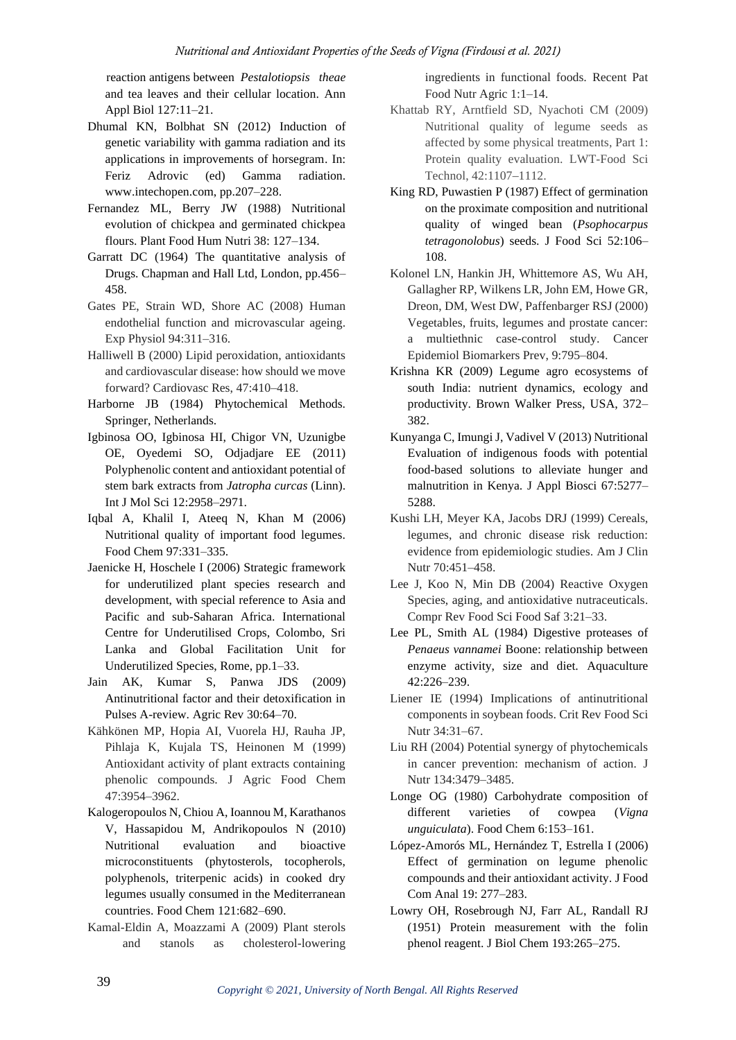reaction antigens between *Pestalotiopsis theae* and tea leaves and their cellular location. Ann Appl Biol 127:11–21.

- Dhumal KN, Bolbhat SN (2012) Induction of genetic variability with gamma radiation and its applications in improvements of horsegram. In: Feriz Adrovic (ed) Gamma radiation. www.intechopen.com, pp.207–228.
- Fernandez ML, Berry JW (1988) Nutritional evolution of chickpea and germinated chickpea flours. Plant Food Hum Nutri 38: 127–134.
- Garratt DC (1964) The quantitative analysis of Drugs. Chapman and Hall Ltd, London, pp.456– 458.
- Gates PE, Strain WD, Shore AC (2008) Human endothelial function and microvascular ageing. Exp Physiol 94:311–316.
- Halliwell B (2000) Lipid peroxidation, antioxidants and cardiovascular disease: how should we move forward? Cardiovasc Res, 47:410–418.
- Harborne JB (1984) Phytochemical Methods. Springer, Netherlands.
- Igbinosa OO, Igbinosa HI, Chigor VN, Uzunigbe OE, Oyedemi SO, Odjadjare EE (2011) Polyphenolic content and antioxidant potential of stem bark extracts from *Jatropha curcas* (Linn). Int J Mol Sci 12:2958–2971.
- Iqbal A, Khalil I, Ateeq N, Khan M (2006) Nutritional quality of important food legumes. Food Chem 97:331–335.
- Jaenicke H, Hoschele I (2006) Strategic framework for underutilized plant species research and development, with special reference to Asia and Pacific and sub-Saharan Africa. International Centre for Underutilised Crops, Colombo, Sri Lanka and Global Facilitation Unit for Underutilized Species, Rome, pp.1–33.
- Jain AK, Kumar S, Panwa JDS (2009) Antinutritional factor and their detoxification in Pulses A-review. Agric Rev 30:64–70.
- Kähkönen MP, Hopia AI, Vuorela HJ, Rauha JP, Pihlaja K, Kujala TS, Heinonen M (1999) Antioxidant activity of plant extracts containing phenolic compounds. J Agric Food Chem 47:3954–3962.
- Kalogeropoulos N, Chiou A, Ioannou M, Karathanos V, Hassapidou M, Andrikopoulos N (2010) Nutritional evaluation and bioactive microconstituents (phytosterols, tocopherols, polyphenols, triterpenic acids) in cooked dry legumes usually consumed in the Mediterranean countries. Food Chem 121:682–690.
- Kamal-Eldin A, Moazzami A (2009) Plant sterols and stanols as cholesterol-lowering

ingredients in functional foods. Recent Pat Food Nutr Agric 1:1–14.

- Khattab RY, Arntfield SD, Nyachoti CM (2009) Nutritional quality of legume seeds as affected by some physical treatments, Part 1: Protein quality evaluation. LWT-Food Sci Technol, 42:1107–1112.
- King RD, Puwastien P (1987) Effect of germination on the proximate composition and nutritional quality of winged bean (*Psophocarpus tetragonolobus*) seeds. J Food Sci 52:106– 108.
- Kolonel LN, Hankin JH, Whittemore AS, Wu AH, Gallagher RP, Wilkens LR, John EM, Howe GR, Dreon, DM, West DW, Paffenbarger RSJ (2000) Vegetables, fruits, legumes and prostate cancer: a multiethnic case-control study. Cancer Epidemiol Biomarkers Prev, 9:795–804.
- Krishna KR (2009) Legume agro ecosystems of south India: nutrient dynamics, ecology and productivity. Brown Walker Press, USA, 372– 382.
- Kunyanga C, Imungi J, Vadivel V (2013) Nutritional Evaluation of indigenous foods with potential food-based solutions to alleviate hunger and malnutrition in Kenya. J Appl Biosci 67:5277– 5288.
- Kushi LH, Meyer KA, Jacobs DRJ (1999) Cereals, legumes, and chronic disease risk reduction: evidence from epidemiologic studies. Am J Clin Nutr 70:451–458.
- Lee J, Koo N, Min DB (2004) Reactive Oxygen Species, aging, and antioxidative nutraceuticals. Compr Rev Food Sci Food Saf 3:21–33.
- Lee PL, Smith AL (1984) Digestive proteases of *Penaeus vannamei* Boone: relationship between enzyme activity, size and diet. Aquaculture 42:226–239.
- Liener IE (1994) Implications of antinutritional components in soybean foods. Crit Rev Food Sci Nutr 34:31–67.
- Liu RH (2004) Potential synergy of phytochemicals in cancer prevention: mechanism of action. J Nutr 134:3479–3485.
- Longe OG (1980) Carbohydrate composition of different varieties of cowpea (*Vigna unguiculata*). Food Chem 6:153–161.
- López-Amorós ML, Hernández T, Estrella I (2006) Effect of germination on legume phenolic compounds and their antioxidant activity. J Food Com Anal 19: 277–283.
- Lowry OH, Rosebrough NJ, Farr AL, Randall RJ (1951) Protein measurement with the folin phenol reagent. J Biol Chem 193:265–275.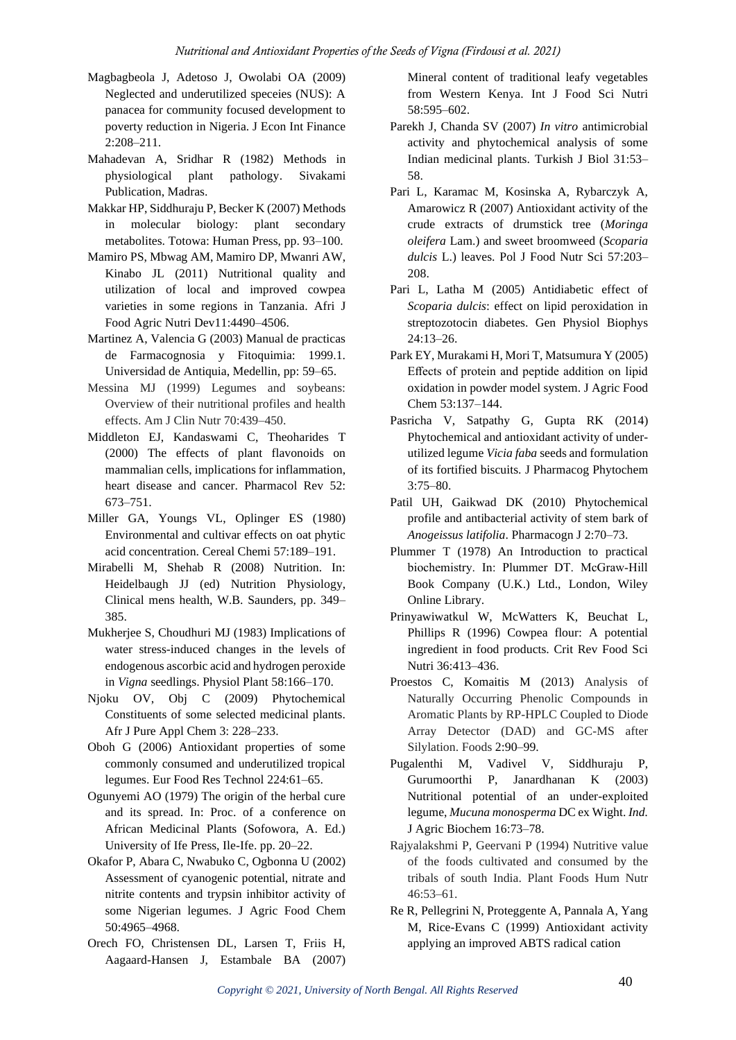- Magbagbeola J, Adetoso J, Owolabi OA (2009) Neglected and underutilized speceies (NUS): A panacea for community focused development to poverty reduction in Nigeria. J Econ Int Finance 2:208–211.
- Mahadevan A, Sridhar R (1982) Methods in physiological plant pathology. Sivakami Publication, Madras.
- Makkar HP, Siddhuraju P, Becker K (2007) Methods in molecular biology: plant secondary metabolites. Totowa: Human Press, pp. 93–100.
- Mamiro PS, Mbwag AM, Mamiro DP, Mwanri AW, Kinabo JL (2011) Nutritional quality and utilization of local and improved cowpea varieties in some regions in Tanzania. Afri J Food Agric Nutri Dev11:4490–4506.
- Martinez A, Valencia G (2003) Manual de practicas de Farmacognosia y Fitoquimia: 1999.1. Universidad de Antiquia, Medellin, pp: 59–65.
- Messina MJ (1999) Legumes and soybeans: Overview of their nutritional profiles and health effects. Am J Clin Nutr 70:439–450.
- Middleton EJ, Kandaswami C, Theoharides T (2000) The effects of plant flavonoids on mammalian cells, implications for inflammation, heart disease and cancer. Pharmacol Rev 52: 673–751.
- Miller GA, Youngs VL, Oplinger ES (1980) Environmental and cultivar effects on oat phytic acid concentration. Cereal Chemi 57:189–191.
- Mirabelli M, Shehab R (2008) Nutrition. In: Heidelbaugh JJ (ed) Nutrition Physiology, Clinical mens health, W.B. Saunders, pp. 349– 385.
- Mukherjee S, Choudhuri MJ (1983) Implications of water stress-induced changes in the levels of endogenous ascorbic acid and hydrogen peroxide in *Vigna* seedlings. Physiol Plant 58:166–170.
- Njoku OV, Obj C (2009) Phytochemical Constituents of some selected medicinal plants. Afr J Pure Appl Chem 3: 228–233.
- Oboh G (2006) Antioxidant properties of some commonly consumed and underutilized tropical legumes. Eur Food Res Technol 224:61–65.
- Ogunyemi AO (1979) The origin of the herbal cure and its spread. In: Proc. of a conference on African Medicinal Plants (Sofowora, A. Ed.) University of Ife Press, Ile-Ife. pp. 20–22.
- Okafor P, Abara C, Nwabuko C, Ogbonna U (2002) Assessment of cyanogenic potential, nitrate and nitrite contents and trypsin inhibitor activity of some Nigerian legumes. J Agric Food Chem 50:4965–4968.
- Orech FO, Christensen DL, Larsen T, Friis H, Aagaard-Hansen J, Estambale BA (2007)

Mineral content of traditional leafy vegetables from Western Kenya. Int J Food Sci Nutri 58:595–602.

- Parekh J, Chanda SV (2007) *In vitro* antimicrobial activity and phytochemical analysis of some Indian medicinal plants. Turkish J Biol 31:53– 58.
- Pari L, Karamac M, Kosinska A, Rybarczyk A, Amarowicz R (2007) Antioxidant activity of the crude extracts of drumstick tree (*Moringa oleifera* Lam.) and sweet broomweed (*Scoparia dulcis* L.) leaves. Pol J Food Nutr Sci 57:203– 208.
- Pari L, Latha M (2005) Antidiabetic effect of *Scoparia dulcis*: effect on lipid peroxidation in streptozotocin diabetes. Gen Physiol Biophys 24:13–26.
- Park EY, Murakami H, Mori T, Matsumura Y (2005) Effects of protein and peptide addition on lipid oxidation in powder model system. J Agric Food Chem 53:137–144.
- Pasricha V, Satpathy G, Gupta RK (2014) Phytochemical and antioxidant activity of underutilized legume *Vicia faba* seeds and formulation of its fortified biscuits. J Pharmacog Phytochem 3:75–80.
- Patil UH, Gaikwad DK (2010) Phytochemical profile and antibacterial activity of stem bark of *Anogeissus latifolia*. Pharmacogn J 2:70–73.
- Plummer T (1978) An Introduction to practical biochemistry. In: Plummer DT. McGraw‐Hill Book Company (U.K.) Ltd., London, Wiley Online Library.
- Prinyawiwatkul W, McWatters K, Beuchat L, Phillips R (1996) Cowpea flour: A potential ingredient in food products. Crit Rev Food Sci Nutri 36:413–436.
- Proestos C, Komaitis M (2013) Analysis of Naturally Occurring Phenolic Compounds in Aromatic Plants by RP-HPLC Coupled to Diode Array Detector (DAD) and GC-MS after Silylation. Foods 2:90–99.
- Pugalenthi M, Vadivel V, Siddhuraju P, Gurumoorthi P, Janardhanan K (2003) Nutritional potential of an under-exploited legume, *Mucuna monosperma* DC ex Wight. *Ind.*  J Agric Biochem 16:73–78.
- Rajyalakshmi P, Geervani P (1994) Nutritive value of the foods cultivated and consumed by the tribals of south India. Plant Foods Hum Nutr 46:53–61.
- Re R, Pellegrini N, Proteggente A, Pannala A, Yang M, Rice-Evans C (1999) Antioxidant activity applying an improved ABTS radical cation